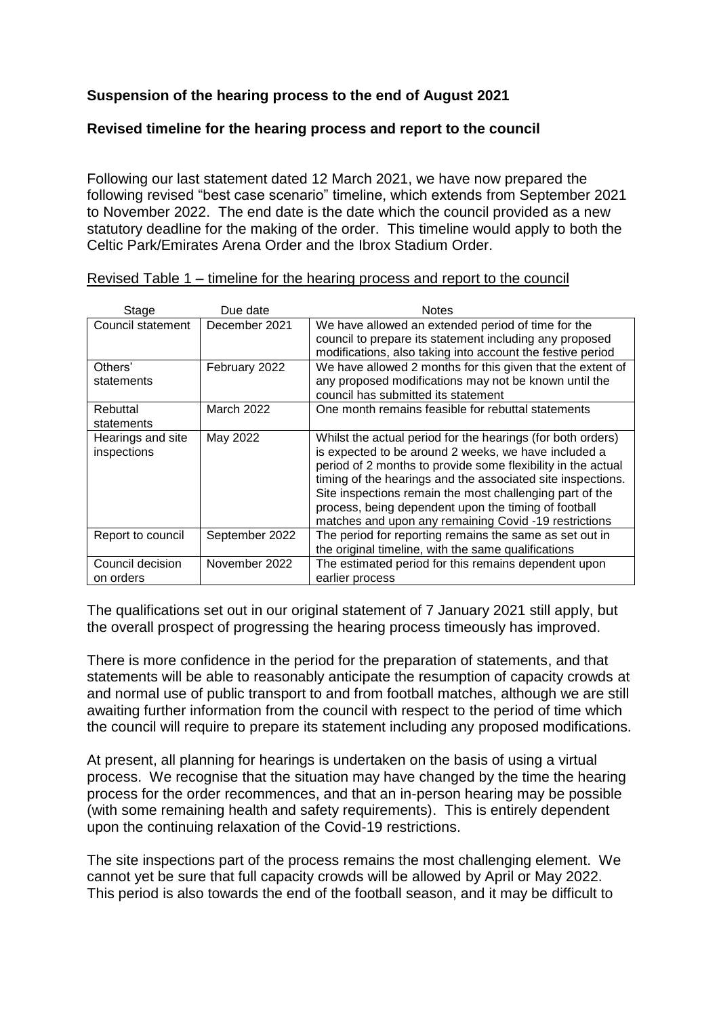## **Suspension of the hearing process to the end of August 2021**

## **Revised timeline for the hearing process and report to the council**

Following our last statement dated 12 March 2021, we have now prepared the following revised "best case scenario" timeline, which extends from September 2021 to November 2022. The end date is the date which the council provided as a new statutory deadline for the making of the order. This timeline would apply to both the Celtic Park/Emirates Arena Order and the Ibrox Stadium Order.

| Stage                            | Due date       | <b>Notes</b>                                                                                                                                                                                                                                                                                                                                                                                                                    |
|----------------------------------|----------------|---------------------------------------------------------------------------------------------------------------------------------------------------------------------------------------------------------------------------------------------------------------------------------------------------------------------------------------------------------------------------------------------------------------------------------|
| Council statement                | December 2021  | We have allowed an extended period of time for the<br>council to prepare its statement including any proposed<br>modifications, also taking into account the festive period                                                                                                                                                                                                                                                     |
| Others'<br>statements            | February 2022  | We have allowed 2 months for this given that the extent of<br>any proposed modifications may not be known until the<br>council has submitted its statement                                                                                                                                                                                                                                                                      |
| Rebuttal<br>statements           | March 2022     | One month remains feasible for rebuttal statements                                                                                                                                                                                                                                                                                                                                                                              |
| Hearings and site<br>inspections | May 2022       | Whilst the actual period for the hearings (for both orders)<br>is expected to be around 2 weeks, we have included a<br>period of 2 months to provide some flexibility in the actual<br>timing of the hearings and the associated site inspections.<br>Site inspections remain the most challenging part of the<br>process, being dependent upon the timing of football<br>matches and upon any remaining Covid -19 restrictions |
| Report to council                | September 2022 | The period for reporting remains the same as set out in<br>the original timeline, with the same qualifications                                                                                                                                                                                                                                                                                                                  |
| Council decision<br>on orders    | November 2022  | The estimated period for this remains dependent upon<br>earlier process                                                                                                                                                                                                                                                                                                                                                         |

## Revised Table 1 – timeline for the hearing process and report to the council

The qualifications set out in our original statement of 7 January 2021 still apply, but the overall prospect of progressing the hearing process timeously has improved.

There is more confidence in the period for the preparation of statements, and that statements will be able to reasonably anticipate the resumption of capacity crowds at and normal use of public transport to and from football matches, although we are still awaiting further information from the council with respect to the period of time which the council will require to prepare its statement including any proposed modifications.

At present, all planning for hearings is undertaken on the basis of using a virtual process. We recognise that the situation may have changed by the time the hearing process for the order recommences, and that an in-person hearing may be possible (with some remaining health and safety requirements). This is entirely dependent upon the continuing relaxation of the Covid-19 restrictions.

The site inspections part of the process remains the most challenging element. We cannot yet be sure that full capacity crowds will be allowed by April or May 2022. This period is also towards the end of the football season, and it may be difficult to